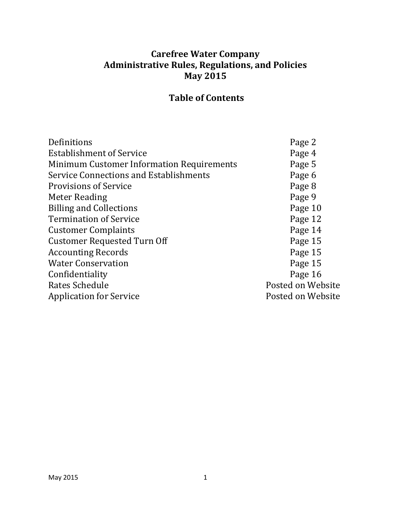## **Carefree Water Company Administrative Rules, Regulations, and Policies May 2015**

# **Table of Contents**

| Definitions                                      | Page 2            |
|--------------------------------------------------|-------------------|
| <b>Establishment of Service</b>                  | Page 4            |
| <b>Minimum Customer Information Requirements</b> | Page 5            |
| Service Connections and Establishments           | Page 6            |
| <b>Provisions of Service</b>                     | Page 8            |
| Meter Reading                                    | Page 9            |
| <b>Billing and Collections</b>                   | Page 10           |
| <b>Termination of Service</b>                    | Page 12           |
| <b>Customer Complaints</b>                       | Page 14           |
| <b>Customer Requested Turn Off</b>               | Page 15           |
| <b>Accounting Records</b>                        | Page 15           |
| <b>Water Conservation</b>                        | Page 15           |
| Confidentiality                                  | Page 16           |
| Rates Schedule                                   | Posted on Website |
| <b>Application for Service</b>                   | Posted on Website |
|                                                  |                   |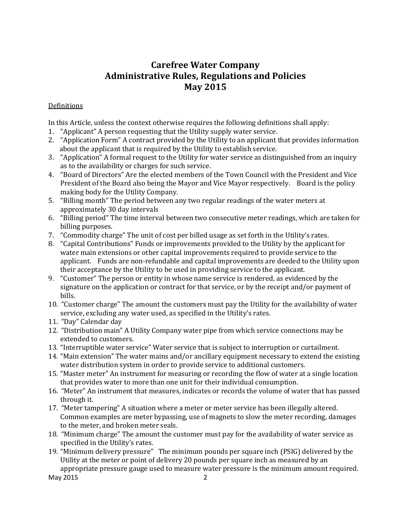## **Carefree Water Company Administrative Rules, Regulations and Policies May 2015**

## **Definitions**

In this Article, unless the context otherwise requires the following definitions shall apply:

- 1. "Applicant" A person requesting that the Utility supply water service.
- 2. "Application Form" A contract provided by the Utility to an applicant that provides information about the applicant that is required by the Utility to establish service.
- 3. "Application" A formal request to the Utility for water service as distinguished from an inquiry as to the availability or charges for such service.
- 4. "Board of Directors" Are the elected members of the Town Council with the President and Vice President of the Board also being the Mayor and Vice Mayor respectively. Board is the policy making body for the Utility Company.
- 5. "Billing month" The period between any two regular readings of the water meters at approximately 30 day intervals
- 6. "Billing period" The time interval between two consecutive meter readings, which are taken for billing purposes.
- 7. "Commodity charge" The unit of cost per billed usage as set forth in the Utility's rates.
- 8. "Capital Contributions" Funds or improvements provided to the Utility by the applicant for water main extensions or other capital improvements required to provide service to the applicant. Funds are non-refundable and capital improvements are deeded to the Utility upon their acceptance by the Utility to be used in providing service to the applicant.
- 9. "Customer" The person or entity in whose name service is rendered, as evidenced by the signature on the application or contract for that service, or by the receipt and/or payment of bills.
- 10. "Customer charge" The amount the customers must pay the Utility for the availability of water service, excluding any water used, as specified in the Utility's rates.
- 11. "Day" Calendar day
- 12. "Distribution main" A Utility Company water pipe from which service connections may be extended to customers.
- 13. "Interruptible water service" Water service that is subject to interruption or curtailment.
- 14. "Main extension" The water mains and/or ancillary equipment necessary to extend the existing water distribution system in order to provide service to additional customers.
- 15. "Master meter" An instrument for measuring or recording the flow of water at a single location that provides water to more than one unit for their individual consumption.
- 16. "Meter" An instrument that measures, indicates or records the volume of water that has passed through it.
- 17. "Meter tampering" A situation where a meter or meter service has been illegally altered. Common examples are meter bypassing, use of magnets to slow the meter recording, damages to the meter, and broken meter seals.
- 18. "Minimum charge" The amount the customer must pay for the availability of water service as specified in the Utility's rates.
- May 2015 22 19. "Minimum delivery pressure" The minimum pounds per square inch (PSIG) delivered by the Utility at the meter or point of delivery 20 pounds per square inch as measured by an appropriate pressure gauge used to measure water pressure is the minimum amount required.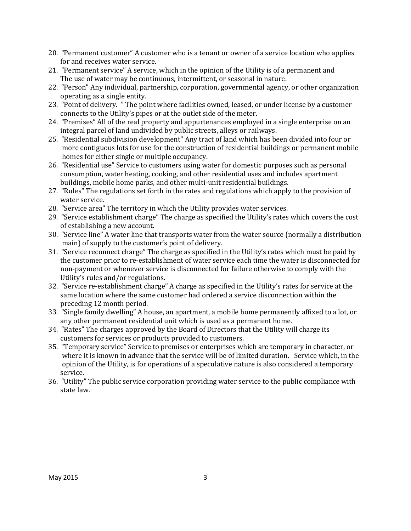- 20. "Permanent customer" A customer who is a tenant or owner of a service location who applies for and receives water service.
- 21. "Permanent service" A service, which in the opinion of the Utility is of a permanent and The use of water may be continuous, intermittent, or seasonal in nature.
- 22. "Person" Any individual, partnership, corporation, governmental agency, or other organization operating as a single entity.
- 23. "Point of delivery. " The point where facilities owned, leased, or under license by a customer connects to the Utility's pipes or at the outlet side of the meter.
- 24. "Premises" All of the real property and appurtenances employed in a single enterprise on an integral parcel of land undivided by public streets, alleys or railways.
- 25. "Residential subdivision development" Any tract of land which has been divided into four or more contiguous lots for use for the construction of residential buildings or permanent mobile homes for either single or multiple occupancy.
- 26. "Residential use" Service to customers using water for domestic purposes such as personal consumption, water heating, cooking, and other residential uses and includes apartment buildings, mobile home parks, and other multi-unit residential buildings.
- 27. "Rules" The regulations set forth in the rates and regulations which apply to the provision of water service.
- 28. "Service area" The territory in which the Utility provides water services.
- 29. "Service establishment charge" The charge as specified the Utility's rates which covers the cost of establishing a new account.
- 30. "Service line" A water line that transports water from the water source (normally a distribution main) of supply to the customer's point of delivery.
- 31. "Service reconnect charge" The charge as specified in the Utility's rates which must be paid by the customer prior to re-establishment of water service each time the water is disconnected for non-payment or whenever service is disconnected for failure otherwise to comply with the Utility's rules and/or regulations.
- 32. "Service re-establishment charge" A charge as specified in the Utility's rates for service at the same location where the same customer had ordered a service disconnection within the preceding 12 month period.
- 33. "Single family dwelling" A house, an apartment, a mobile home permanently affixed to a lot, or any other permanent residential unit which is used as a permanent home.
- 34. "Rates" The charges approved by the Board of Directors that the Utility will charge its customers for services or products provided to customers.
- 35. "Temporary service" Service to premises or enterprises which are temporary in character, or where it is known in advance that the service will be of limited duration. Service which, in the opinion of the Utility, is for operations of a speculative nature is also considered a temporary service.
- 36. "Utility" The public service corporation providing water service to the public compliance with state law.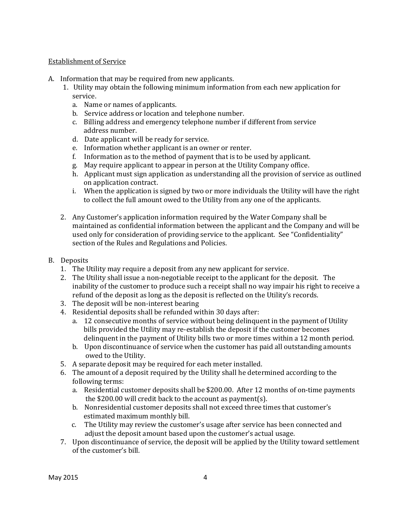## Establishment of Service

- A. Information that may be required from new applicants.
	- 1. Utility may obtain the following minimum information from each new application for service.
		- a. Name or names of applicants.
		- b. Service address or location and telephone number.
		- c. Billing address and emergency telephone number if different from service address number.
		- d. Date applicant will be ready for service.
		- e. Information whether applicant is an owner or renter.
		- f. Information as to the method of payment that is to be used by applicant.
		- g. May require applicant to appear in person at the Utility Company office.
		- h. Applicant must sign application as understanding all the provision of service as outlined on application contract.
		- i. When the application is signed by two or more individuals the Utility will have the right to collect the full amount owed to the Utility from any one of the applicants.
	- 2. Any Customer's application information required by the Water Company shall be maintained as confidential information between the applicant and the Company and will be used only for consideration of providing service to the applicant. See "Confidentiality" section of the Rules and Regulations and Policies.
- B. Deposits
	- 1. The Utility may require a deposit from any new applicant for service.
	- 2. The Utility shall issue a non-negotiable receipt to the applicant for the deposit. The inability of the customer to produce such a receipt shall no way impair his right to receive a refund of the deposit as long as the deposit is reflected on the Utility's records.
	- 3. The deposit will be non-interest bearing
	- 4. Residential deposits shall be refunded within 30 days after:
		- a. 12 consecutive months of service without being delinquent in the payment of Utility bills provided the Utility may re-establish the deposit if the customer becomes delinquent in the payment of Utility bills two or more times within a 12 month period.
		- b. Upon discontinuance of service when the customer has paid all outstanding amounts owed to the Utility.
	- 5. A separate deposit may be required for each meter installed.
	- 6. The amount of a deposit required by the Utility shall he determined according to the following terms:
		- a. Residential customer deposits shall be \$200.00. After 12 months of on-time payments the \$200.00 will credit back to the account as payment(s).
		- b. Nonresidential customer deposits shall not exceed three times that customer's estimated maximum monthly bill.
		- c. The Utility may review the customer's usage after service has been connected and adjust the deposit amount based upon the customer's actual usage.
	- 7. Upon discontinuance of service, the deposit will be applied by the Utility toward settlement of the customer's bill.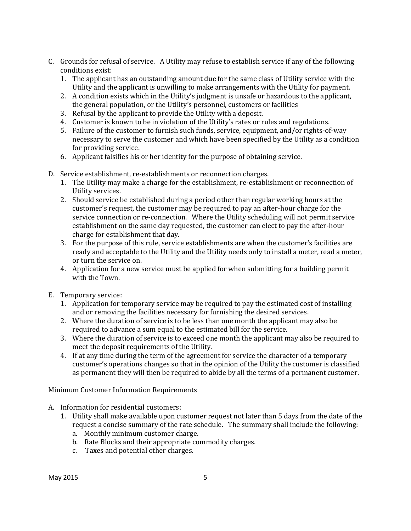- C. Grounds for refusal of service. A Utility may refuse to establish service if any of the following conditions exist:
	- 1. The applicant has an outstanding amount due for the same class of Utility service with the Utility and the applicant is unwilling to make arrangements with the Utility for payment.
	- 2. A condition exists which in the Utility's judgment is unsafe or hazardous to the applicant, the general population, or the Utility's personnel, customers or facilities
	- 3. Refusal by the applicant to provide the Utility with a deposit.
	- 4. Customer is known to be in violation of the Utility's rates or rules and regulations.
	- 5. Failure of the customer to furnish such funds, service, equipment, and/or rights-of-way necessary to serve the customer and which have been specified by the Utility as a condition for providing service.
	- 6. Applicant falsifies his or her identity for the purpose of obtaining service.
- D. Service establishment, re-establishments or reconnection charges.
	- 1. The Utility may make a charge for the establishment, re-establishment or reconnection of Utility services.
	- 2. Should service be established during a period other than regular working hours at the customer's request, the customer may be required to pay an after-hour charge for the service connection or re-connection. Where the Utility scheduling will not permit service establishment on the same day requested, the customer can elect to pay the after-hour charge for establishment that day.
	- 3. For the purpose of this rule, service establishments are when the customer's facilities are ready and acceptable to the Utility and the Utility needs only to install a meter, read a meter, or turn the service on.
	- 4. Application for a new service must be applied for when submitting for a building permit with the Town.
- E. Temporary service:
	- 1. Application for temporary service may be required to pay the estimated cost of installing and or removing the facilities necessary for furnishing the desired services.
	- 2. Where the duration of service is to be less than one month the applicant may also be required to advance a sum equal to the estimated bill for the service.
	- 3. Where the duration of service is to exceed one month the applicant may also be required to meet the deposit requirements of the Utility.
	- 4. If at any time during the term of the agreement for service the character of a temporary customer's operations changes so that in the opinion of the Utility the customer is classified as permanent they will then be required to abide by all the terms of a permanent customer.

## Minimum Customer Information Requirements

- A. Information for residential customers:
	- 1. Utility shall make available upon customer request not later than 5 days from the date of the request a concise summary of the rate schedule. The summary shall include the following:
		- a. Monthly minimum customer charge.
		- b. Rate Blocks and their appropriate commodity charges.
		- c. Taxes and potential other charges.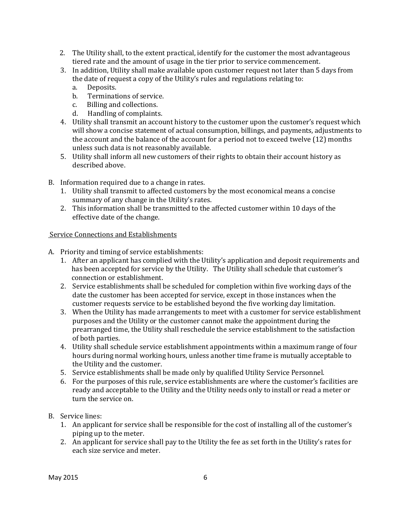- 2. The Utility shall, to the extent practical, identify for the customer the most advantageous tiered rate and the amount of usage in the tier prior to service commencement.
- 3. In addition, Utility shall make available upon customer request not later than 5 days from the date of request a copy of the Utility's rules and regulations relating to:
	- a. Deposits.
	- b. Terminations of service.
	- c. Billing and collections.
	- d. Handling of complaints.
- 4. Utility shall transmit an account history to the customer upon the customer's request which will show a concise statement of actual consumption, billings, and payments, adjustments to the account and the balance of the account for a period not to exceed twelve (12) months unless such data is not reasonably available.
- 5. Utility shall inform all new customers of their rights to obtain their account history as described above.
- B. Information required due to a change in rates.
	- 1. Utility shall transmit to affected customers by the most economical means a concise summary of any change in the Utility's rates.
	- 2. This information shall be transmitted to the affected customer within 10 days of the effective date of the change.

## Service Connections and Establishments

- A. Priority and timing of service establishments:
	- 1. After an applicant has complied with the Utility's application and deposit requirements and has been accepted for service by the Utility. The Utility shall schedule that customer's connection or establishment.
	- 2. Service establishments shall be scheduled for completion within five working days of the date the customer has been accepted for service, except in those instances when the customer requests service to be established beyond the five working day limitation.
	- 3. When the Utility has made arrangements to meet with a customer for service establishment purposes and the Utility or the customer cannot make the appointment during the prearranged time, the Utility shall reschedule the service establishment to the satisfaction of both parties.
	- 4. Utility shall schedule service establishment appointments within a maximum range of four hours during normal working hours, unless another time frame is mutually acceptable to the Utility and the customer.
	- 5. Service establishments shall be made only by qualified Utility Service Personnel.
	- 6. For the purposes of this rule, service establishments are where the customer's facilities are ready and acceptable to the Utility and the Utility needs only to install or read a meter or turn the service on.

## B. Service lines:

- 1. An applicant for service shall be responsible for the cost of installing all of the customer's piping up to the meter.
- 2. An applicant for service shall pay to the Utility the fee as set forth in the Utility's rates for each size service and meter.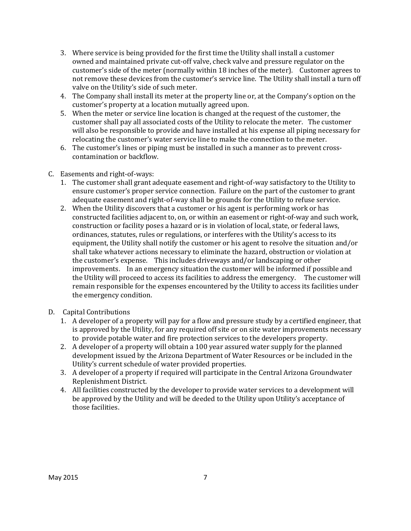- 3. Where service is being provided for the first time the Utility shall install a customer owned and maintained private cut-off valve, check valve and pressure regulator on the customer's side of the meter (normally within 18 inches of the meter). Customer agrees to not remove these devices from the customer's service line. The Utility shall install a turn off valve on the Utility's side of such meter.
- 4. The Company shall install its meter at the property line or, at the Company's option on the customer's property at a location mutually agreed upon.
- 5. When the meter or service line location is changed at the request of the customer, the customer shall pay all associated costs of the Utility to relocate the meter. The customer will also be responsible to provide and have installed at his expense all piping necessary for relocating the customer's water service line to make the connection to the meter.
- 6. The customer's lines or piping must be installed in such a manner as to prevent crosscontamination or backflow.
- C. Easements and right-of-ways:
	- 1. The customer shall grant adequate easement and right-of-way satisfactory to the Utility to ensure customer's proper service connection. Failure on the part of the customer to grant adequate easement and right-of-way shall be grounds for the Utility to refuse service.
	- 2. When the Utility discovers that a customer or his agent is performing work or has constructed facilities adjacent to, on, or within an easement or right-of-way and such work, construction or facility poses a hazard or is in violation of local, state, or federal laws, ordinances, statutes, rules or regulations, or interferes with the Utility's access to its equipment, the Utility shall notify the customer or his agent to resolve the situation and/or shall take whatever actions necessary to eliminate the hazard, obstruction or violation at the customer's expense. This includes driveways and/or landscaping or other improvements. In an emergency situation the customer will be informed if possible and the Utility will proceed to access its facilities to address the emergency. The customer will remain responsible for the expenses encountered by the Utility to access its facilities under the emergency condition.
- D. Capital Contributions
	- 1. A developer of a property will pay for a flow and pressure study by a certified engineer, that is approved by the Utility, for any required off site or on site water improvements necessary to provide potable water and fire protection services to the developers property.
	- 2. A developer of a property will obtain a 100 year assured water supply for the planned development issued by the Arizona Department of Water Resources or be included in the Utility's current schedule of water provided properties.
	- 3. A developer of a property if required will participate in the Central Arizona Groundwater Replenishment District.
	- 4. All facilities constructed by the developer to provide water services to a development will be approved by the Utility and will be deeded to the Utility upon Utility's acceptance of those facilities.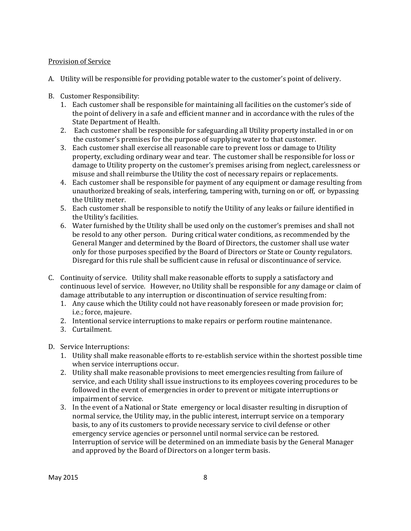## Provision of Service

- A. Utility will be responsible for providing potable water to the customer's point of delivery.
- B. Customer Responsibility:
	- 1. Each customer shall be responsible for maintaining all facilities on the customer's side of the point of delivery in a safe and efficient manner and in accordance with the rules of the State Department of Health.
	- 2. Each customer shall be responsible for safeguarding all Utility property installed in or on the customer's premises for the purpose of supplying water to that customer.
	- 3. Each customer shall exercise all reasonable care to prevent loss or damage to Utility property, excluding ordinary wear and tear. The customer shall be responsible for loss or damage to Utility property on the customer's premises arising from neglect, carelessness or misuse and shall reimburse the Utility the cost of necessary repairs or replacements.
	- 4. Each customer shall be responsible for payment of any equipment or damage resulting from unauthorized breaking of seals, interfering, tampering with, turning on or off, or bypassing the Utility meter.
	- 5. Each customer shall be responsible to notify the Utility of any leaks or failure identified in the Utility's facilities.
	- 6. Water furnished by the Utility shall be used only on the customer's premises and shall not be resold to any other person. During critical water conditions, as recommended by the General Manger and determined by the Board of Directors, the customer shall use water only for those purposes specified by the Board of Directors or State or County regulators. Disregard for this rule shall be sufficient cause in refusal or discontinuance of service.
- C. Continuity of service. Utility shall make reasonable efforts to supply a satisfactory and continuous level of service. However, no Utility shall be responsible for any damage or claim of damage attributable to any interruption or discontinuation of service resulting from:
	- 1. Any cause which the Utility could not have reasonably foreseen or made provision for; i.e.; force, majeure.
	- 2. Intentional service interruptions to make repairs or perform routine maintenance.
	- 3. Curtailment.
- D. Service Interruptions:
	- 1. Utility shall make reasonable efforts to re-establish service within the shortest possible time when service interruptions occur.
	- 2. Utility shall make reasonable provisions to meet emergencies resulting from failure of service, and each Utility shall issue instructions to its employees covering procedures to be followed in the event of emergencies in order to prevent or mitigate interruptions or impairment of service.
	- 3. In the event of a National or State emergency or local disaster resulting in disruption of normal service, the Utility may, in the public interest, interrupt service on a temporary basis, to any of its customers to provide necessary service to civil defense or other emergency service agencies or personnel until normal service can be restored. Interruption of service will be determined on an immediate basis by the General Manager and approved by the Board of Directors on a longer term basis.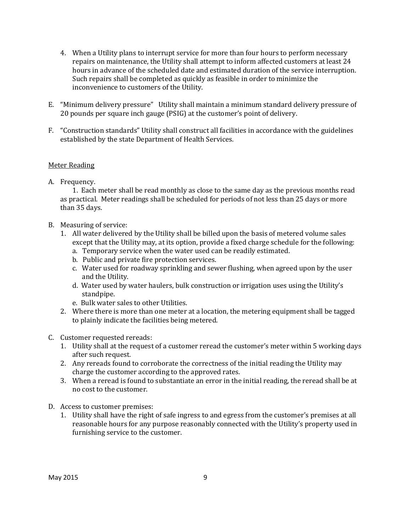- 4. When a Utility plans to interrupt service for more than four hours to perform necessary repairs on maintenance, the Utility shall attempt to inform affected customers at least 24 hours in advance of the scheduled date and estimated duration of the service interruption. Such repairs shall be completed as quickly as feasible in order to minimize the inconvenience to customers of the Utility.
- E. "Minimum delivery pressure" Utility shall maintain a minimum standard delivery pressure of 20 pounds per square inch gauge (PSIG) at the customer's point of delivery.
- F. "Construction standards" Utility shall construct all facilities in accordance with the guidelines established by the state Department of Health Services.

## Meter Reading

A. Frequency.

1. Each meter shall be read monthly as close to the same day as the previous months read as practical. Meter readings shall be scheduled for periods of not less than 25 days or more than 35 days.

- B. Measuring of service:
	- 1. All water delivered by the Utility shall be billed upon the basis of metered volume sales except that the Utility may, at its option, provide a fixed charge schedule for the following:
		- a. Temporary service when the water used can be readily estimated.
		- b. Public and private fire protection services.
		- c. Water used for roadway sprinkling and sewer flushing, when agreed upon by the user and the Utility.
		- d. Water used by water haulers, bulk construction or irrigation uses using the Utility's standpipe.
		- e. Bulk water sales to other Utilities.
	- 2. Where there is more than one meter at a location, the metering equipment shall be tagged to plainly indicate the facilities being metered.
- C. Customer requested rereads:
	- 1. Utility shall at the request of a customer reread the customer's meter within 5 working days after such request.
	- 2. Any rereads found to corroborate the correctness of the initial reading the Utility may charge the customer according to the approved rates.
	- 3. When a reread is found to substantiate an error in the initial reading, the reread shall be at no cost to the customer.
- D. Access to customer premises:
	- 1. Utility shall have the right of safe ingress to and egress from the customer's premises at all reasonable hours for any purpose reasonably connected with the Utility's property used in furnishing service to the customer.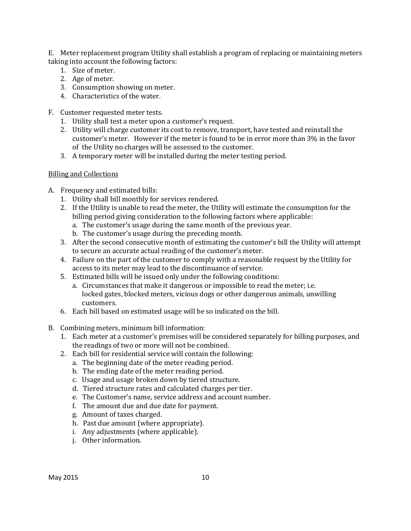E. Meter replacement program Utility shall establish a program of replacing or maintaining meters taking into account the following factors:

- 1. Size of meter.
- 2. Age of meter.
- 3. Consumption showing on meter.
- 4. Characteristics of the water.
- F. Customer requested meter tests.
	- 1. Utility shall test a meter upon a customer's request.
	- 2. Utility will charge customer its cost to remove, transport, have tested and reinstall the customer's meter. However if the meter is found to be in error more than 3% in the favor of the Utility no charges will be assessed to the customer.
	- 3. A temporary meter will be installed during the meter testing period.

## Billing and Collections

- A. Frequency and estimated bills:
	- 1. Utility shall bill monthly for services rendered.
	- 2. If the Utility is unable to read the meter, the Utility will estimate the consumption for the billing period giving consideration to the following factors where applicable:
		- a. The customer's usage during the same month of the previous year.
		- b. The customer's usage during the preceding month.
	- 3. After the second consecutive month of estimating the customer's bill the Utility will attempt to secure an accurate actual reading of the customer's meter.
	- 4. Failure on the part of the customer to comply with a reasonable request by the Utility for access to its meter may lead to the discontinuance of service.
	- 5. Estimated bills will be issued only under the following conditions:
		- a. Circumstances that make it dangerous or impossible to read the meter; i.e. locked gates, blocked meters, vicious dogs or other dangerous animals, unwilling customers.
	- 6. Each bill based on estimated usage will be so indicated on the bill.
- B. Combining meters, minimum bill information:
	- 1. Each meter at a customer's premises will be considered separately for billing purposes, and the readings of two or more will not be combined.
	- 2. Each bill for residential service will contain the following:
		- a. The beginning date of the meter reading period.
		- b. The ending date of the meter reading period.
		- c. Usage and usage broken down by tiered structure.
		- d. Tiered structure rates and calculated charges per tier.
		- e. The Customer's name, service address and account number.
		- f. The amount due and due date for payment.
		- g. Amount of taxes charged.
		- h. Past due amount (where appropriate).
		- i. Any adjustments (where applicable).
		- j. Other information.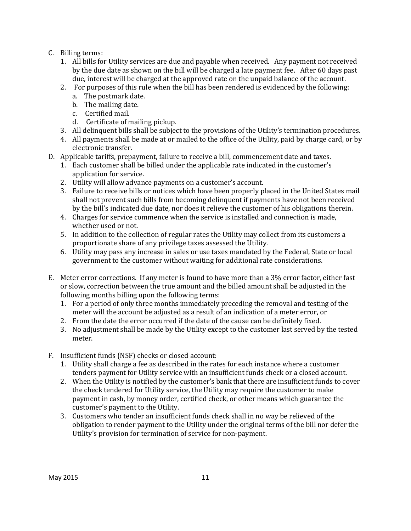- C. Billing terms:
	- 1. All bills for Utility services are due and payable when received. Any payment not received by the due date as shown on the bill will be charged a late payment fee. After 60 days past due, interest will be charged at the approved rate on the unpaid balance of the account.
	- 2. For purposes of this rule when the bill has been rendered is evidenced by the following:
		- a. The postmark date.
		- b. The mailing date.
		- c. Certified mail.
		- d. Certificate of mailing pickup.
	- 3. All delinquent bills shall be subject to the provisions of the Utility's termination procedures.
	- 4. All payments shall be made at or mailed to the office of the Utility, paid by charge card, or by electronic transfer.
- D. Applicable tariffs, prepayment, failure to receive a bill, commencement date and taxes.
	- 1. Each customer shall be billed under the applicable rate indicated in the customer's application for service.
	- 2. Utility will allow advance payments on a customer's account.
	- 3. Failure to receive bills or notices which have been properly placed in the United States mail shall not prevent such bills from becoming delinquent if payments have not been received by the bill's indicated due date, nor does it relieve the customer of his obligations therein.
	- 4. Charges for service commence when the service is installed and connection is made, whether used or not.
	- 5. In addition to the collection of regular rates the Utility may collect from its customers a proportionate share of any privilege taxes assessed the Utility.
	- 6. Utility may pass any increase in sales or use taxes mandated by the Federal, State or local government to the customer without waiting for additional rate considerations.
- E. Meter error corrections. If any meter is found to have more than a 3% error factor, either fast or slow, correction between the true amount and the billed amount shall be adjusted in the following months billing upon the following terms:
	- 1. For a period of only three months immediately preceding the removal and testing of the meter will the account be adjusted as a result of an indication of a meter error, or
	- 2. From the date the error occurred if the date of the cause can be definitely fixed.
	- 3. No adjustment shall be made by the Utility except to the customer last served by the tested meter.
- F. Insufficient funds (NSF) checks or closed account:
	- 1. Utility shall charge a fee as described in the rates for each instance where a customer tenders payment for Utility service with an insufficient funds check or a closed account.
	- 2. When the Utility is notified by the customer's bank that there are insufficient funds to cover the check tendered for Utility service, the Utility may require the customer to make payment in cash, by money order, certified check, or other means which guarantee the customer's payment to the Utility.
	- 3. Customers who tender an insufficient funds check shall in no way be relieved of the obligation to render payment to the Utility under the original terms of the bill nor defer the Utility's provision for termination of service for non-payment.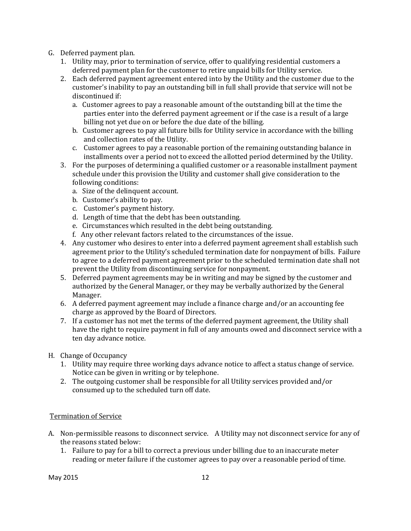- G. Deferred payment plan.
	- 1. Utility may, prior to termination of service, offer to qualifying residential customers a deferred payment plan for the customer to retire unpaid bills for Utility service.
	- 2. Each deferred payment agreement entered into by the Utility and the customer due to the customer's inability to pay an outstanding bill in full shall provide that service will not be discontinued if:
		- a. Customer agrees to pay a reasonable amount of the outstanding bill at the time the parties enter into the deferred payment agreement or if the case is a result of a large billing not yet due on or before the due date of the billing.
		- b. Customer agrees to pay all future bills for Utility service in accordance with the billing and collection rates of the Utility.
		- c. Customer agrees to pay a reasonable portion of the remaining outstanding balance in installments over a period not to exceed the allotted period determined by the Utility.
	- 3. For the purposes of determining a qualified customer or a reasonable installment payment schedule under this provision the Utility and customer shall give consideration to the following conditions:
		- a. Size of the delinquent account.
		- b. Customer's ability to pay.
		- c. Customer's payment history.
		- d. Length of time that the debt has been outstanding.
		- e. Circumstances which resulted in the debt being outstanding.
		- f. Any other relevant factors related to the circumstances of the issue.
	- 4. Any customer who desires to enter into a deferred payment agreement shall establish such agreement prior to the Utility's scheduled termination date for nonpayment of bills. Failure to agree to a deferred payment agreement prior to the scheduled termination date shall not prevent the Utility from discontinuing service for nonpayment.
	- 5. Deferred payment agreements may be in writing and may be signed by the customer and authorized by the General Manager, or they may be verbally authorized by the General Manager.
	- 6. A deferred payment agreement may include a finance charge and/or an accounting fee charge as approved by the Board of Directors.
	- 7. If a customer has not met the terms of the deferred payment agreement, the Utility shall have the right to require payment in full of any amounts owed and disconnect service with a ten day advance notice.
- H. Change of Occupancy
	- 1. Utility may require three working days advance notice to affect a status change of service. Notice can be given in writing or by telephone.
	- 2. The outgoing customer shall be responsible for all Utility services provided and/or consumed up to the scheduled turn off date.

## Termination of Service

- A. Non-permissible reasons to disconnect service. A Utility may not disconnect service for any of the reasons stated below:
	- 1. Failure to pay for a bill to correct a previous under billing due to an inaccurate meter reading or meter failure if the customer agrees to pay over a reasonable period of time.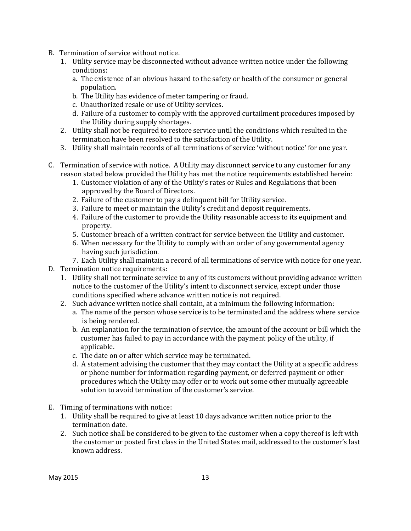- B. Termination of service without notice.
	- 1. Utility service may be disconnected without advance written notice under the following conditions:
		- a. The existence of an obvious hazard to the safety or health of the consumer or general population.
		- b. The Utility has evidence of meter tampering or fraud.
		- c. Unauthorized resale or use of Utility services.
		- d. Failure of a customer to comply with the approved curtailment procedures imposed by the Utility during supply shortages.
	- 2. Utility shall not be required to restore service until the conditions which resulted in the termination have been resolved to the satisfaction of the Utility.
	- 3. Utility shall maintain records of all terminations of service 'without notice' for one year.
- C. Termination of service with notice. A Utility may disconnect service to any customer for any reason stated below provided the Utility has met the notice requirements established herein:
	- 1. Customer violation of any of the Utility's rates or Rules and Regulations that been approved by the Board of Directors.
	- 2. Failure of the customer to pay a delinquent bill for Utility service.
	- 3. Failure to meet or maintain the Utility's credit and deposit requirements.
	- 4. Failure of the customer to provide the Utility reasonable access to its equipment and property.
	- 5. Customer breach of a written contract for service between the Utility and customer.
	- 6. When necessary for the Utility to comply with an order of any governmental agency having such jurisdiction.
	- 7. Each Utility shall maintain a record of all terminations of service with notice for one year.
- D. Termination notice requirements:
	- 1. Utility shall not terminate service to any of its customers without providing advance written notice to the customer of the Utility's intent to disconnect service, except under those conditions specified where advance written notice is not required.
	- 2. Such advance written notice shall contain, at a minimum the following information:
		- a. The name of the person whose service is to be terminated and the address where service is being rendered.
		- b. An explanation for the termination of service, the amount of the account or bill which the customer has failed to pay in accordance with the payment policy of the utility, if applicable.
		- c. The date on or after which service may be terminated.
		- d. A statement advising the customer that they may contact the Utility at a specific address or phone number for information regarding payment, or deferred payment or other procedures which the Utility may offer or to work out some other mutually agreeable solution to avoid termination of the customer's service.
- E. Timing of terminations with notice:
	- 1. Utility shall be required to give at least 10 days advance written notice prior to the termination date.
	- 2. Such notice shall be considered to be given to the customer when a copy thereof is left with the customer or posted first class in the United States mail, addressed to the customer's last known address.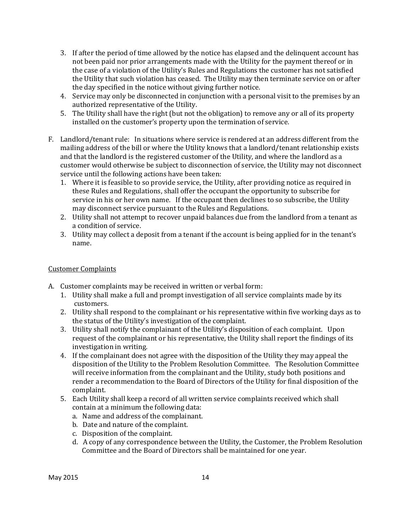- 3. If after the period of time allowed by the notice has elapsed and the delinquent account has not been paid nor prior arrangements made with the Utility for the payment thereof or in the case of a violation of the Utility's Rules and Regulations the customer has not satisfied the Utility that such violation has ceased. The Utility may then terminate service on or after the day specified in the notice without giving further notice.
- 4. Service may only be disconnected in conjunction with a personal visit to the premises by an authorized representative of the Utility.
- 5. The Utility shall have the right (but not the obligation) to remove any or all of its property installed on the customer's property upon the termination of service.
- F. Landlord/tenant rule: In situations where service is rendered at an address different from the mailing address of the bill or where the Utility knows that a landlord/tenant relationship exists and that the landlord is the registered customer of the Utility, and where the landlord as a customer would otherwise be subject to disconnection of service, the Utility may not disconnect service until the following actions have been taken:
	- 1. Where it is feasible to so provide service, the Utility, after providing notice as required in these Rules and Regulations, shall offer the occupant the opportunity to subscribe for service in his or her own name. If the occupant then declines to so subscribe, the Utility may disconnect service pursuant to the Rules and Regulations.
	- 2. Utility shall not attempt to recover unpaid balances due from the landlord from a tenant as a condition of service.
	- 3. Utility may collect a deposit from a tenant if the account is being applied for in the tenant's name.

## Customer Complaints

- A. Customer complaints may be received in written or verbal form:
	- 1. Utility shall make a full and prompt investigation of all service complaints made by its customers.
	- 2. Utility shall respond to the complainant or his representative within five working days as to the status of the Utility's investigation of the complaint.
	- 3. Utility shall notify the complainant of the Utility's disposition of each complaint. Upon request of the complainant or his representative, the Utility shall report the findings of its investigation in writing.
	- 4. If the complainant does not agree with the disposition of the Utility they may appeal the disposition of the Utility to the Problem Resolution Committee. The Resolution Committee will receive information from the complainant and the Utility, study both positions and render a recommendation to the Board of Directors of the Utility for final disposition of the complaint.
	- 5. Each Utility shall keep a record of all written service complaints received which shall contain at a minimum the following data:
		- a. Name and address of the complainant.
		- b. Date and nature of the complaint.
		- c. Disposition of the complaint.
		- d. A copy of any correspondence between the Utility, the Customer, the Problem Resolution Committee and the Board of Directors shall be maintained for one year.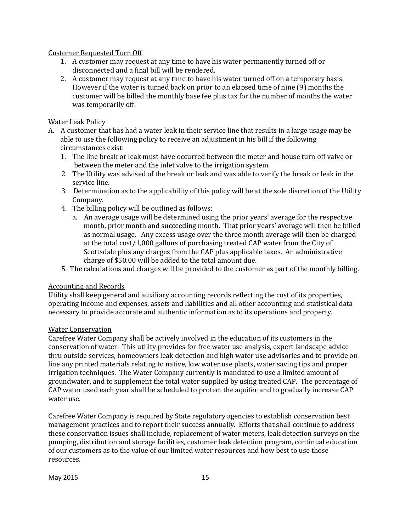## Customer Requested Turn Off

- 1. A customer may request at any time to have his water permanently turned off or disconnected and a final bill will be rendered.
- 2. A customer may request at any time to have his water turned off on a temporary basis. However if the water is turned back on prior to an elapsed time of nine (9) months the customer will be billed the monthly base fee plus tax for the number of months the water was temporarily off.

## Water Leak Policy

- A. A customer that has had a water leak in their service line that results in a large usage may be able to use the following policy to receive an adjustment in his bill if the following circumstances exist:
	- 1. The line break or leak must have occurred between the meter and house turn off valve or between the meter and the inlet valve to the irrigation system.
	- 2. The Utility was advised of the break or leak and was able to verify the break or leak in the service line.
	- 3. Determination as to the applicability of this policy will be at the sole discretion of the Utility Company.
	- 4. The billing policy will be outlined as follows:
		- a. An average usage will be determined using the prior years' average for the respective month, prior month and succeeding month. That prior years' average will then be billed as normal usage. Any excess usage over the three month average will then be charged at the total cost/1,000 gallons of purchasing treated CAP water from the City of Scottsdale plus any charges from the CAP plus applicable taxes. An administrative charge of \$50.00 will be added to the total amount due.
	- 5. The calculations and charges will be provided to the customer as part of the monthly billing.

## Accounting and Records

Utility shall keep general and auxiliary accounting records reflecting the cost of its properties, operating income and expenses, assets and liabilities and all other accounting and statistical data necessary to provide accurate and authentic information as to its operations and property.

## Water Conservation

Carefree Water Company shall be actively involved in the education of its customers in the conservation of water. This utility provides for free water use analysis, expert landscape advice thru outside services, homeowners leak detection and high water use advisories and to provide online any printed materials relating to native, low water use plants, water saving tips and proper irrigation techniques. The Water Company currently is mandated to use a limited amount of groundwater, and to supplement the total water supplied by using treated CAP. The percentage of CAP water used each year shall be scheduled to protect the aquifer and to gradually increase CAP water use.

Carefree Water Company is required by State regulatory agencies to establish conservation best management practices and to report their success annually. Efforts that shall continue to address these conservation issues shall include, replacement of water meters, leak detection surveys on the pumping, distribution and storage facilities, customer leak detection program, continual education of our customers as to the value of our limited water resources and how best to use those resources.